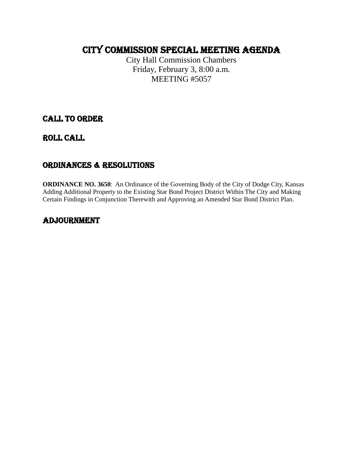# CITY COMMISSION Special MEETING AGENDA

City Hall Commission Chambers Friday, February 3, 8:00 a.m. MEETING #5057

# CALL TO ORDER

ROLL CALL

# ORDINANCES & RESOLUTIONS

**ORDINANCE NO. 3650**: An Ordinance of the Governing Body of the City of Dodge City, Kansas Adding Additional Property to the Existing Star Bond Project District Within The City and Making Certain Findings in Conjunction Therewith and Approving an Amended Star Bond District Plan.

# ADJOURNMENT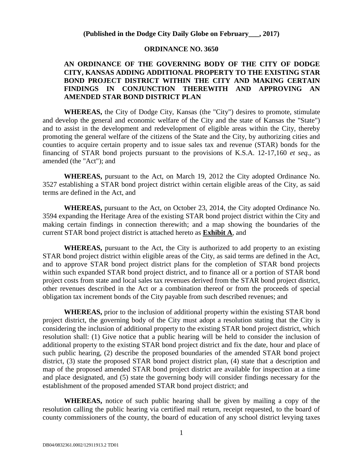#### **(Published in the Dodge City Daily Globe on February\_\_\_, 2017)**

#### **ORDINANCE NO. 3650**

#### **AN ORDINANCE OF THE GOVERNING BODY OF THE CITY OF DODGE CITY, KANSAS ADDING ADDITIONAL PROPERTY TO THE EXISTING STAR BOND PROJECT DISTRICT WITHIN THE CITY AND MAKING CERTAIN FINDINGS IN CONJUNCTION THEREWITH AND APPROVING AN AMENDED STAR BOND DISTRICT PLAN**

**WHEREAS,** the City of Dodge City, Kansas (the "City") desires to promote, stimulate and develop the general and economic welfare of the City and the state of Kansas the "State") and to assist in the development and redevelopment of eligible areas within the City, thereby promoting the general welfare of the citizens of the State and the City, by authorizing cities and counties to acquire certain property and to issue sales tax and revenue (STAR) bonds for the financing of STAR bond projects pursuant to the provisions of K.S.A. 12-17,160 *et seq.,* as amended (the "Act"); and

**WHEREAS,** pursuant to the Act, on March 19, 2012 the City adopted Ordinance No. 3527 establishing a STAR bond project district within certain eligible areas of the City, as said terms are defined in the Act, and

**WHEREAS,** pursuant to the Act, on October 23, 2014, the City adopted Ordinance No. 3594 expanding the Heritage Area of the existing STAR bond project district within the City and making certain findings in connection therewith; and a map showing the boundaries of the current STAR bond project district is attached hereto as **Exhibit A**, and

**WHEREAS,** pursuant to the Act, the City is authorized to add property to an existing STAR bond project district within eligible areas of the City, as said terms are defined in the Act, and to approve STAR bond project district plans for the completion of STAR bond projects within such expanded STAR bond project district, and to finance all or a portion of STAR bond project costs from state and local sales tax revenues derived from the STAR bond project district, other revenues described in the Act or a combination thereof or from the proceeds of special obligation tax increment bonds of the City payable from such described revenues; and

**WHEREAS,** prior to the inclusion of additional property within the existing STAR bond project district, the governing body of the City must adopt a resolution stating that the City is considering the inclusion of additional property to the existing STAR bond project district, which resolution shall: (1) Give notice that a public hearing will be held to consider the inclusion of additional property to the existing STAR bond project district and fix the date, hour and place of such public hearing, (2) describe the proposed boundaries of the amended STAR bond project district, (3) state the proposed STAR bond project district plan, (4) state that a description and map of the proposed amended STAR bond project district are available for inspection at a time and place designated, and (5) state the governing body will consider findings necessary for the establishment of the proposed amended STAR bond project district; and

**WHEREAS,** notice of such public hearing shall be given by mailing a copy of the resolution calling the public hearing via certified mail return, receipt requested, to the board of county commissioners of the county, the board of education of any school district levying taxes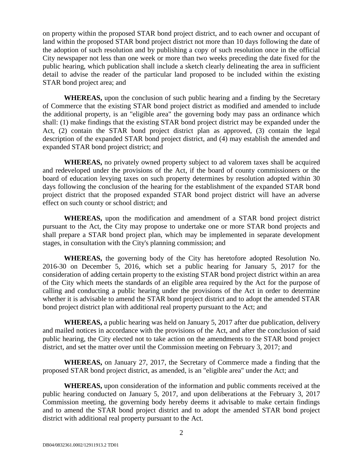on property within the proposed STAR bond project district, and to each owner and occupant of land within the proposed STAR bond project district not more than 10 days following the date of the adoption of such resolution and by publishing a copy of such resolution once in the official City newspaper not less than one week or more than two weeks preceding the date fixed for the public hearing, which publication shall include a sketch clearly delineating the area in sufficient detail to advise the reader of the particular land proposed to be included within the existing STAR bond project area; and

**WHEREAS,** upon the conclusion of such public hearing and a finding by the Secretary of Commerce that the existing STAR bond project district as modified and amended to include the additional property, is an "eligible area" the governing body may pass an ordinance which shall: (1) make findings that the existing STAR bond project district may be expanded under the Act, (2) contain the STAR bond project district plan as approved, (3) contain the legal description of the expanded STAR bond project district, and (4) may establish the amended and expanded STAR bond project district; and

**WHEREAS,** no privately owned property subject to ad valorem taxes shall be acquired and redeveloped under the provisions of the Act, if the board of county commissioners or the board of education levying taxes on such property determines by resolution adopted within 30 days following the conclusion of the hearing for the establishment of the expanded STAR bond project district that the proposed expanded STAR bond project district will have an adverse effect on such county or school district; and

**WHEREAS,** upon the modification and amendment of a STAR bond project district pursuant to the Act, the City may propose to undertake one or more STAR bond projects and shall prepare a STAR bond project plan, which may be implemented in separate development stages, in consultation with the City's planning commission; and

**WHEREAS,** the governing body of the City has heretofore adopted Resolution No. 2016-30 on December 5, 2016, which set a public hearing for January 5, 2017 for the consideration of adding certain property to the existing STAR bond project district within an area of the City which meets the standards of an eligible area required by the Act for the purpose of calling and conducting a public hearing under the provisions of the Act in order to determine whether it is advisable to amend the STAR bond project district and to adopt the amended STAR bond project district plan with additional real property pursuant to the Act; and

**WHEREAS,** a public hearing was held on January 5, 2017 after due publication, delivery and mailed notices in accordance with the provisions of the Act, and after the conclusion of said public hearing, the City elected not to take action on the amendments to the STAR bond project district, and set the matter over until the Commission meeting on February 3, 2017; and

**WHEREAS,** on January 27, 2017, the Secretary of Commerce made a finding that the proposed STAR bond project district, as amended, is an "eligible area" under the Act; and

**WHEREAS,** upon consideration of the information and public comments received at the public hearing conducted on January 5, 2017, and upon deliberations at the February 3, 2017 Commission meeting, the governing body hereby deems it advisable to make certain findings and to amend the STAR bond project district and to adopt the amended STAR bond project district with additional real property pursuant to the Act.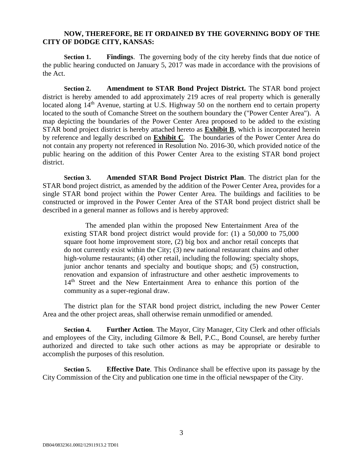#### **NOW, THEREFORE, BE IT ORDAINED BY THE GOVERNING BODY OF THE CITY OF DODGE CITY, KANSAS:**

**Section 1. Findings**. The governing body of the city hereby finds that due notice of the public hearing conducted on January 5, 2017 was made in accordance with the provisions of the Act.

**Section 2. Amendment to STAR Bond Project District.** The STAR bond project district is hereby amended to add approximately 219 acres of real property which is generally located along 14<sup>th</sup> Avenue, starting at U.S. Highway 50 on the northern end to certain property located to the south of Comanche Street on the southern boundary the ("Power Center Area"). A map depicting the boundaries of the Power Center Area proposed to be added to the existing STAR bond project district is hereby attached hereto as **Exhibit B**, which is incorporated herein by reference and legally described on **Exhibit C***.* The boundaries of the Power Center Area do not contain any property not referenced in Resolution No. 2016-30, which provided notice of the public hearing on the addition of this Power Center Area to the existing STAR bond project district.

**Section 3. Amended STAR Bond Project District Plan**. The district plan for the STAR bond project district, as amended by the addition of the Power Center Area, provides for a single STAR bond project within the Power Center Area. The buildings and facilities to be constructed or improved in the Power Center Area of the STAR bond project district shall be described in a general manner as follows and is hereby approved:

The amended plan within the proposed New Entertainment Area of the existing STAR bond project district would provide for: (1) a 50,000 to 75,000 square foot home improvement store, (2) big box and anchor retail concepts that do not currently exist within the City; (3) new national restaurant chains and other high-volume restaurants; (4) other retail, including the following: specialty shops, junior anchor tenants and specialty and boutique shops; and (5) construction, renovation and expansion of infrastructure and other aesthetic improvements to 14<sup>th</sup> Street and the New Entertainment Area to enhance this portion of the community as a super-regional draw.

The district plan for the STAR bond project district, including the new Power Center Area and the other project areas, shall otherwise remain unmodified or amended.

**Section 4. Further Action**. The Mayor, City Manager, City Clerk and other officials and employees of the City, including Gilmore & Bell, P.C., Bond Counsel, are hereby further authorized and directed to take such other actions as may be appropriate or desirable to accomplish the purposes of this resolution.

**Section 5. Effective Date**. This Ordinance shall be effective upon its passage by the City Commission of the City and publication one time in the official newspaper of the City.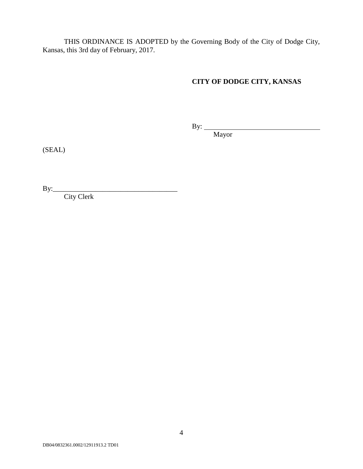THIS ORDINANCE IS ADOPTED by the Governing Body of the City of Dodge City, Kansas, this 3rd day of February, 2017.

### **CITY OF DODGE CITY, KANSAS**

By:

Mayor

(SEAL)

By:\_\_\_\_\_\_\_\_\_\_\_\_\_\_\_\_\_\_\_\_\_\_\_\_\_\_\_\_\_\_\_\_\_\_\_

City Clerk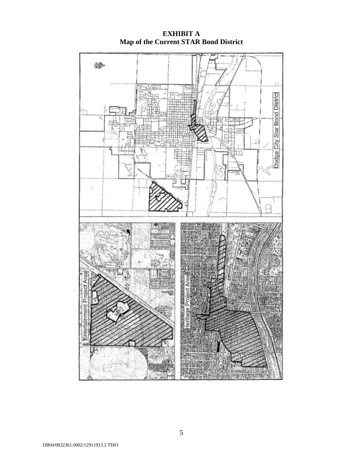

**EXHIBIT A Map of the Current STAR Bond District**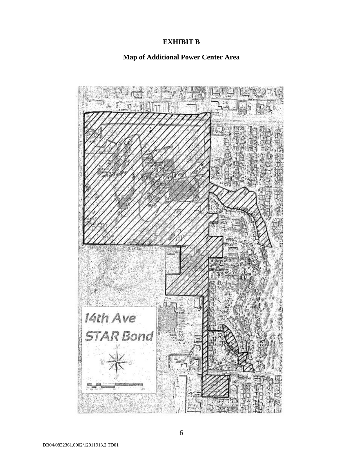### **EXHIBIT B**

# **Map of Additional Power Center Area**

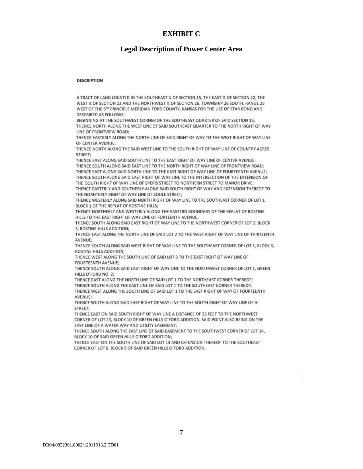#### **EXHIBIT C**

#### **Legal Description of Power Center Area**

#### DESCRIPTION

A TRACT OF LAND LOCATED IN THE SOUTHEAST % OF SECTION 15. THE EAST % OF SECTION 22. THE WEST 1/2 OF SECTION 23 AND THE NORTHWEST 1/4 OF SECTION 26, TOWNSHIP 26 SOUTH, RANGE 25 WEST OF THE 6TH PRINCIPLE MERIDIAN FORD COUNTY, KANSAS FOR THE USE OF STAR BOND AND **DESCRIBED AS FOLLOWS:** 

BEGINNING AT THE SOUTHWEST CORNER OF THE SOUTHEAST QUARTER OF SAID SECTION 15: THENCE NORTH ALONG THE WEST LINE OF SAID SOUTHEAST QUARTER TO THE NORTH RIGHT OF WAY LINE OF FRONTVIEW ROAD:

THENCE EASTERLY ALONG THE NORTH LINE OF SAID RIGHT OF WAY TO THE WEST RIGHT OF WAY LINE OF CENTER AVENUE:

THENCE NORTH ALONG THE SAID WEST LINE TO THE SOUTH RIGHT OF WAY LINE OF COUNTRY ACRES STREET:

THENCE EAST ALONG SAID SOUTH LINE TO THE EAST RIGHT OF WAY LINE OF CENTER AVENUE: THENCE SOUTH ALONG SAID EAST LINE TO THE NORTH RIGHT OF WAY LINE OF FRONTVIEW ROAD; THENCE EAST ALONG SAID NORTH LINE TO THE EAST RIGHT OF WAY LINE OF FOURTEENTH AVENUE; THENCE SOUTH ALONG SAID EAST RIGHT OF WAY LINE TO THE INTERSECTION OF THE EXTENSION OF THE SOUTH RIGHT OF WAY LINE OF SPEIRS STREET TO NORTHERN STREET TO MANOR DRIVE;

THENCE EASTERLY AND SOUTHERLY ALONG SAID SOUTH RIGHT OF WAY AND EXTENSION THEREOF TO THE NORHTERLY RIGHT OF WAY LINE OF SOULE STREET:

THENCE WESTERLY ALONG SAID NORTH RIGHT OF WAY LINE TO THE SOUTHEAST CORNER OF LOT 1 BLOCK 1 OF THE REPLAT OF ROSTINE HILLS;

THENCE NORTHERLY AND WESTERLY ALONG THE EASTERN BOUNDARY OF THE REPLAT OF ROSTINE HILLS TO THE EAST RIGHT OF WAY LINE OF FORTEENTH AVENUE:

THENCE SOUTH ALONG SAID EAST RIGHT OF WAY LINE TO THE NORTHWEST CORNER OF LOT 2, BLOCK 3, ROSTINE HILLS ADDITION;

THENCE EAST ALONG THE NORTH LINE OF SAID LOT 2 TO THE WEST RIGHT OF WAY LINE OF THIRTEENTH AVENUE-

THENCE SOUTH ALONG SAID WEST RIGHT OF WAY LINE TO THE SOUTHEAST CORNER OF LOT 3, BLOCK 3, ROSTINE HILLS ADDITION;

THENCE WEST ALONG THE SOUTH LINE OF SAID LOT 3 TO THE EAST RIGHT OF WAY LINE OF **FOURTEENTH AVENUE;** 

THENCE SOUTH ALONG SAID EAST RIGHT OF WAY LINE TO THE NORTHWEST CORNER OF LOT 1, GREEN HILLS O'FORD NO. 2:

THENCE EAST ALONG THE NORTH LINE OF SAID LOT 1 TO THE NORTHEAST CORNER THEREOF; THENCE SOUTH ALONG THE EAST LINE OF SAID LOT 1 TO THE SOUTHEAST CORNER THEREOF; THENCE WEST ALONG THE SOUTH LINE OF SAID LOT 1 TO THE EAST RIGHT OF WAY OF FOURTEENTH AVENUE:

THENCE SOUTH ALONG SAID EAST RIGHT OF WAY LINE TO THE SOUTH RIGHT OF WAY LINE OF HI STREET:

THENCE EAST ON SAID SOUTH RIGHT OF WAY LINE A DISTANCE OF 25 FEET TO THE NORTHWEST CORNER OF LOT 23, BLOCK 10 OF GREEN HILLS O'FORD ADDITION, SAID POINT ALSO BEING ON THE EAST LINE OF A WATER WAY AND UTILITY EASEMENT;

THENCE SOUTH ALONG THE EAST LINE OF SAID EASEMENT TO THE SOUTHWEST CORNER OF LOT 14, BLOCK 10 OF SAID GREEN HILLS O'FORD ADDITION:

THENCE EAST ON THE SOUTH LINE OF SAID LOT 14 AND EXTENSION THEREOF TO THE SOUTHEAST CORNER OF LOT 8, BLOCK 9 OF SAID GREEN HILLS O'FORD ADDITION;